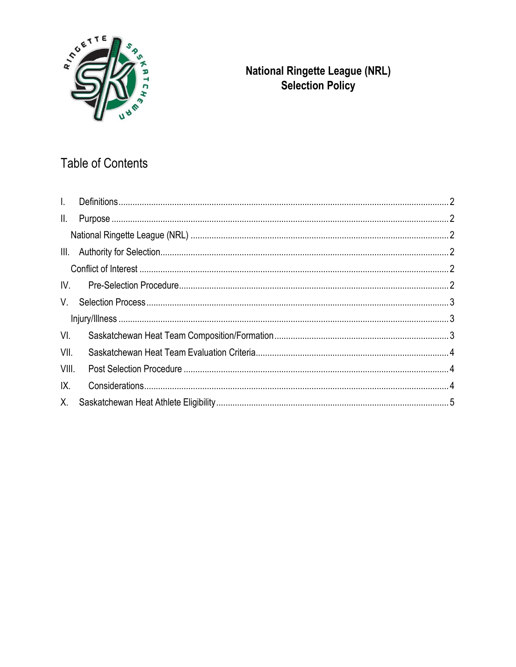

# **National Ringette League (NRL)**<br>Selection Policy

## Table of Contents

| $\mathbf{L}$  |  |  |
|---------------|--|--|
| $\parallel$ . |  |  |
|               |  |  |
|               |  |  |
|               |  |  |
| $W_{\cdot}$   |  |  |
| $V_{\cdot}$   |  |  |
|               |  |  |
| VI.           |  |  |
| VII.          |  |  |
| VIII.         |  |  |
| IX.           |  |  |
| X.            |  |  |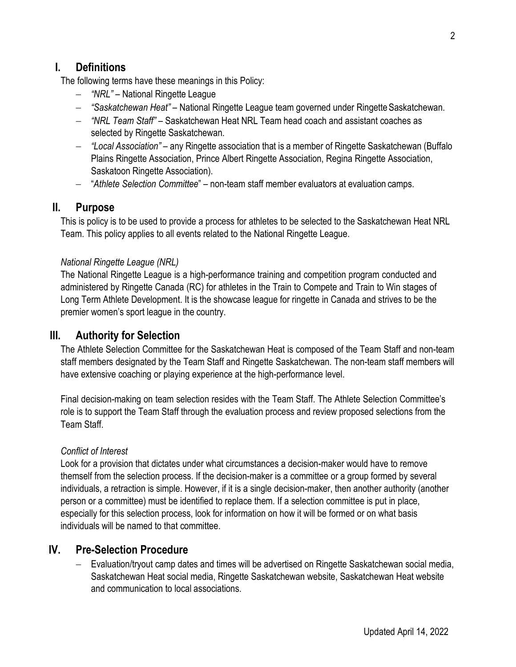## <span id="page-1-0"></span>**I. Definitions**

The following terms have these meanings in this Policy:

- − *"NRL" –* National Ringette League
- − *"Saskatchewan Heat"* National Ringette League team governed under Ringette Saskatchewan.
- − *"NRL Team Staff"*  Saskatchewan Heat NRL Team head coach and assistant coaches as selected by Ringette Saskatchewan.
- − *"Local Association"* any Ringette association that is a member of Ringette Saskatchewan (Buffalo Plains Ringette Association, Prince Albert Ringette Association, Regina Ringette Association, Saskatoon Ringette Association).
- − "*Athlete Selection Committee*" non-team staff member evaluators at evaluation camps.

#### <span id="page-1-1"></span>**II. Purpose**

This is policy is to be used to provide a process for athletes to be selected to the Saskatchewan Heat NRL Team. This policy applies to all events related to the National Ringette League.

#### <span id="page-1-2"></span>*National Ringette League (NRL)*

The National Ringette League is a high-performance training and competition program conducted and administered by Ringette Canada (RC) for athletes in the Train to Compete and Train to Win stages of Long Term Athlete Development. It is the showcase league for ringette in Canada and strives to be the premier women's sport league in the country.

#### <span id="page-1-3"></span>**III. Authority for Selection**

The Athlete Selection Committee for the Saskatchewan Heat is composed of the Team Staff and non-team staff members designated by the Team Staff and Ringette Saskatchewan. The non-team staff members will have extensive coaching or playing experience at the high-performance level.

Final decision-making on team selection resides with the Team Staff. The Athlete Selection Committee's role is to support the Team Staff through the evaluation process and review proposed selections from the Team Staff.

#### <span id="page-1-4"></span>*Conflict of Interest*

Look for a provision that dictates under what circumstances a decision-maker would have to remove themself from the selection process. If the decision-maker is a committee or a group formed by several individuals, a retraction is simple. However, if it is a single decision-maker, then another authority (another person or a committee) must be identified to replace them. If a selection committee is put in place, especially for this selection process, look for information on how it will be formed or on what basis individuals will be named to that committee.

#### <span id="page-1-5"></span>**IV. Pre-Selection Procedure**

− Evaluation/tryout camp dates and times will be advertised on Ringette Saskatchewan social media, Saskatchewan Heat social media, Ringette Saskatchewan website, Saskatchewan Heat website and communication to local associations.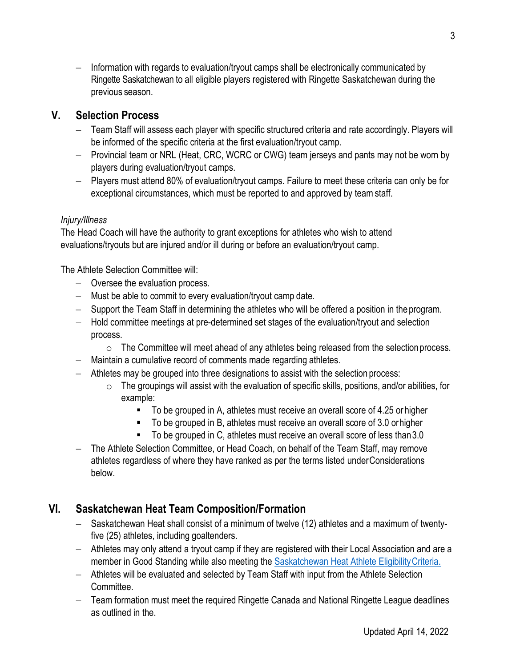− Information with regards to evaluation/tryout camps shall be electronically communicated by Ringette Saskatchewan to all eligible players registered with Ringette Saskatchewan during the previous season.

## <span id="page-2-0"></span>**V. Selection Process**

- − Team Staff will assess each player with specific structured criteria and rate accordingly. Players will be informed of the specific criteria at the first evaluation/tryout camp.
- − Provincial team or NRL (Heat, CRC, WCRC or CWG) team jerseys and pants may not be worn by players during evaluation/tryout camps.
- − Players must attend 80% of evaluation/tryout camps. Failure to meet these criteria can only be for exceptional circumstances, which must be reported to and approved by teamstaff.

#### <span id="page-2-1"></span>*Injury/Illness*

The Head Coach will have the authority to grant exceptions for athletes who wish to attend evaluations/tryouts but are injured and/or ill during or before an evaluation/tryout camp.

The Athlete Selection Committee will:

- − Oversee the evaluation process.
- − Must be able to commit to every evaluation/tryout camp date.
- − Support the Team Staff in determining the athletes who will be offered a position in theprogram.
- − Hold committee meetings at pre-determined set stages of the evaluation/tryout and selection process.
	- o The Committee will meet ahead of any athletes being released from the selectionprocess.
- − Maintain a cumulative record of comments made regarding athletes.
- − Athletes may be grouped into three designations to assist with the selection process:
	- $\circ$  The groupings will assist with the evaluation of specific skills, positions, and/or abilities, for example:
		- To be grouped in A, athletes must receive an overall score of 4.25 or higher
		- To be grouped in B, athletes must receive an overall score of 3.0 or higher
		- To be grouped in C, athletes must receive an overall score of less than 3.0
- − The Athlete Selection Committee, or Head Coach, on behalf of the Team Staff, may remove athletes regardless of where they have ranked as per the terms listed underConsiderations below.

## <span id="page-2-2"></span>**VI. Saskatchewan Heat Team Composition/Formation**

- − Saskatchewan Heat shall consist of a minimum of twelve (12) athletes and a maximum of twentyfive (25) athletes, including goaltenders.
- − Athletes may only attend a tryout camp if they are registered with their Local Association and are a member in Good Standing while also meeting the Saskatchewan Heat Athlete Eligibility Criteria.
- − Athletes will be evaluated and selected by Team Staff with input from the Athlete Selection Committee.
- − Team formation must meet the required Ringette Canada and National Ringette League deadlines as outlined in th[e.](https://www.nationalringetteleague.ca/en/documents)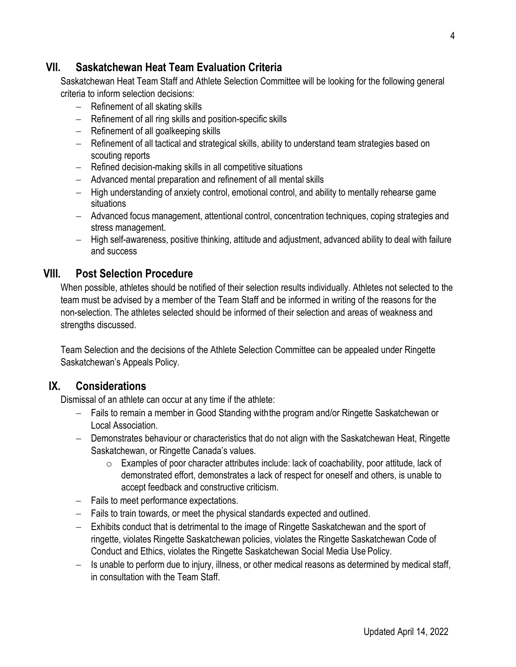## <span id="page-3-0"></span>**VII. Saskatchewan Heat Team Evaluation Criteria**

Saskatchewan Heat Team Staff and Athlete Selection Committee will be looking for the following general criteria to inform selection decisions:

- − Refinement of all skating skills
- − Refinement of all ring skills and position-specific skills
- − Refinement of all goalkeeping skills
- − Refinement of all tactical and strategical skills, ability to understand team strategies based on scouting reports
- − Refined decision-making skills in all competitive situations
- − Advanced mental preparation and refinement of all mental skills
- − High understanding of anxiety control, emotional control, and ability to mentally rehearse game situations
- − Advanced focus management, attentional control, concentration techniques, coping strategies and stress management.
- − High self-awareness, positive thinking, attitude and adjustment, advanced ability to deal with failure and success

## <span id="page-3-1"></span>**VIII. Post Selection Procedure**

When possible, athletes should be notified of their selection results individually. Athletes not selected to the team must be advised by a member of the Team Staff and be informed in writing of the reasons for the non-selection. The athletes selected should be informed of their selection and areas of weakness and strengths discussed.

Team Selection and the decisions of the Athlete Selection Committee can be appealed under Ringette Saskatchewan's Appeals Policy.

## <span id="page-3-2"></span>**IX. Considerations**

Dismissal of an athlete can occur at any time if the athlete:

- − Fails to remain a member in Good Standing withthe program and/or Ringette Saskatchewan or Local Association.
- − Demonstrates behaviour or characteristics that do not align with the Saskatchewan Heat, Ringette Saskatchewan, or Ringette Canada's values.
	- o Examples of poor character attributes include: lack of coachability, poor attitude, lack of demonstrated effort, demonstrates a lack of respect for oneself and others, is unable to accept feedback and constructive criticism.
- − Fails to meet performance expectations.
- − Fails to train towards, or meet the physical standards expected and outlined.
- − Exhibits conduct that is detrimental to the image of Ringette Saskatchewan and the sport of ringette, violates Ringette Saskatchewan policies, violates the Ringette Saskatchewan Code of Conduct and Ethics, violates the Ringette Saskatchewan Social Media Use Policy.
- − Is unable to perform due to injury, illness, or other medical reasons as determined by medical staff, in consultation with the Team Staff.